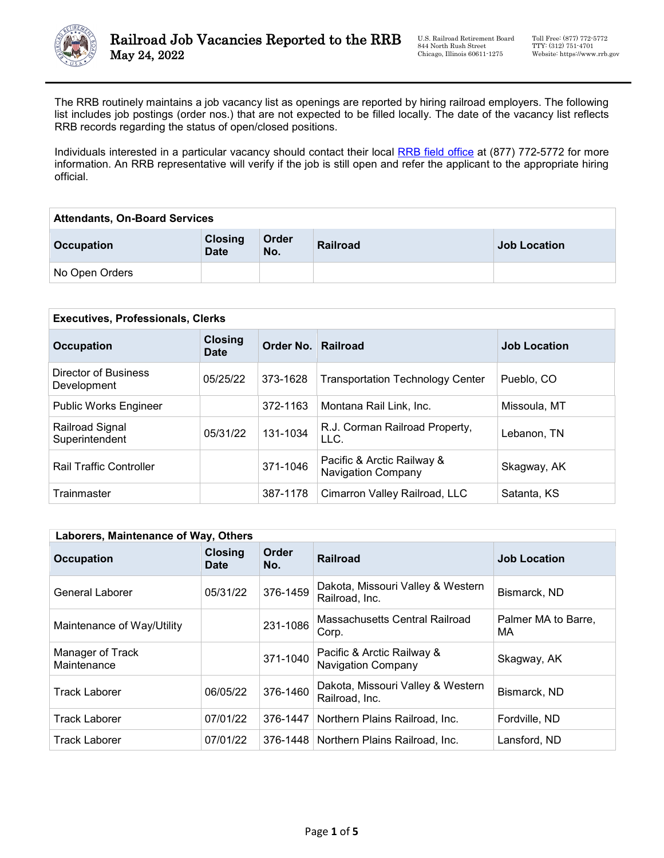

The RRB routinely maintains a job vacancy list as openings are reported by hiring railroad employers. The following list includes job postings (order nos.) that are not expected to be filled locally. The date of the vacancy list reflects RRB records regarding the status of open/closed positions.

Individuals interested in a particular vacancy should contact their local [RRB field office](https://www.rrb.gov/Field-Office-Locator) at (877) 772-5772 for more information. An RRB representative will verify if the job is still open and refer the applicant to the appropriate hiring official.

| <b>Attendants, On-Board Services</b> |                               |              |                 |                     |
|--------------------------------------|-------------------------------|--------------|-----------------|---------------------|
| <b>Occupation</b>                    | <b>Closing</b><br><b>Date</b> | Order<br>No. | <b>Railroad</b> | <b>Job Location</b> |
| No Open Orders                       |                               |              |                 |                     |

| <b>Executives, Professionals, Clerks</b> |                               |                    |                                                         |                     |
|------------------------------------------|-------------------------------|--------------------|---------------------------------------------------------|---------------------|
| <b>Occupation</b>                        | <b>Closing</b><br><b>Date</b> | Order No. Railroad |                                                         | <b>Job Location</b> |
| Director of Business<br>Development      | 05/25/22                      | 373-1628           | <b>Transportation Technology Center</b>                 | Pueblo, CO          |
| <b>Public Works Engineer</b>             |                               | 372-1163           | Montana Rail Link, Inc.                                 | Missoula, MT        |
| Railroad Signal<br>Superintendent        | 05/31/22                      | 131-1034           | R.J. Corman Railroad Property,<br>LLC.                  | Lebanon, TN         |
| <b>Rail Traffic Controller</b>           |                               | 371-1046           | Pacific & Arctic Railway &<br><b>Navigation Company</b> | Skagway, AK         |
| Trainmaster                              |                               | 387-1178           | Cimarron Valley Railroad, LLC                           | Satanta, KS         |

| Laborers, Maintenance of Way, Others |                               |              |                                                         |                           |
|--------------------------------------|-------------------------------|--------------|---------------------------------------------------------|---------------------------|
| <b>Occupation</b>                    | <b>Closing</b><br><b>Date</b> | Order<br>No. | <b>Railroad</b>                                         | <b>Job Location</b>       |
| General Laborer                      | 05/31/22                      | 376-1459     | Dakota, Missouri Valley & Western<br>Railroad, Inc.     | Bismarck, ND              |
| Maintenance of Way/Utility           |                               | 231-1086     | Massachusetts Central Railroad<br>Corp.                 | Palmer MA to Barre.<br>МA |
| Manager of Track<br>Maintenance      |                               | 371-1040     | Pacific & Arctic Railway &<br><b>Navigation Company</b> | Skagway, AK               |
| <b>Track Laborer</b>                 | 06/05/22                      | 376-1460     | Dakota, Missouri Valley & Western<br>Railroad, Inc.     | Bismarck, ND              |
| <b>Track Laborer</b>                 | 07/01/22                      | 376-1447     | Northern Plains Railroad, Inc.                          | Fordville, ND             |
| <b>Track Laborer</b>                 | 07/01/22                      |              | 376-1448   Northern Plains Railroad, Inc.               | Lansford, ND              |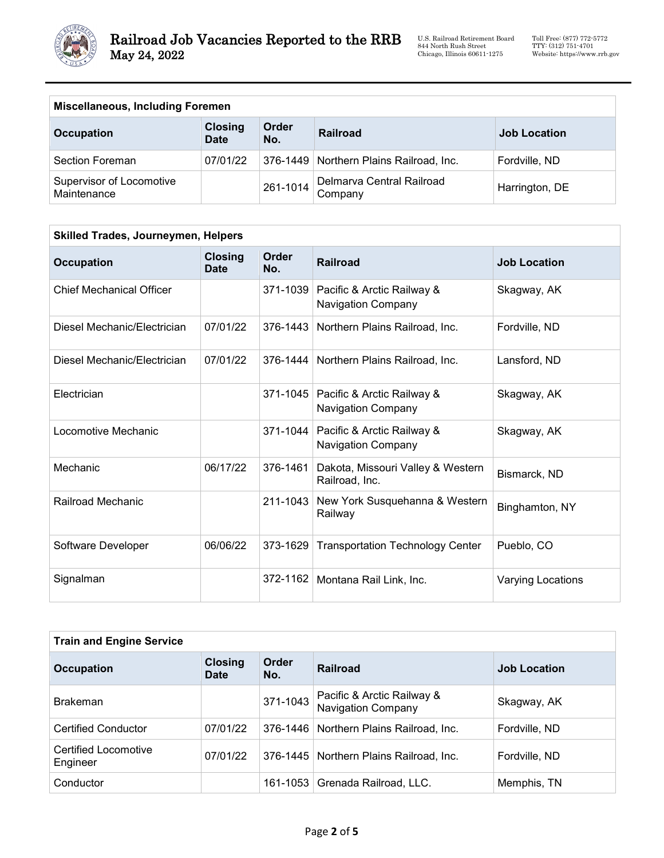

U.S. Railroad Retirement Board 844 North Rush Street Chicago, Illinois 60611-1275

| <b>Miscellaneous, Including Foremen</b> |                               |              |                                         |                     |
|-----------------------------------------|-------------------------------|--------------|-----------------------------------------|---------------------|
| <b>Occupation</b>                       | <b>Closing</b><br><b>Date</b> | Order<br>No. | Railroad                                | <b>Job Location</b> |
| Section Foreman                         | 07/01/22                      |              | 376-1449 Northern Plains Railroad, Inc. | Fordville, ND       |
| Supervisor of Locomotive<br>Maintenance |                               | 261-1014     | Delmarva Central Railroad<br>Company    | Harrington, DE      |

| Skilled Trades, Journeymen, Helpers |                               |              |                                                         |                          |
|-------------------------------------|-------------------------------|--------------|---------------------------------------------------------|--------------------------|
| <b>Occupation</b>                   | <b>Closing</b><br><b>Date</b> | Order<br>No. | <b>Railroad</b>                                         | <b>Job Location</b>      |
| <b>Chief Mechanical Officer</b>     |                               | 371-1039     | Pacific & Arctic Railway &<br><b>Navigation Company</b> | Skagway, AK              |
| Diesel Mechanic/Electrician         | 07/01/22                      | 376-1443     | Northern Plains Railroad, Inc.                          | Fordville, ND            |
| Diesel Mechanic/Electrician         | 07/01/22                      | 376-1444     | Northern Plains Railroad, Inc.                          | Lansford, ND             |
| Electrician                         |                               | 371-1045     | Pacific & Arctic Railway &<br><b>Navigation Company</b> | Skagway, AK              |
| Locomotive Mechanic                 |                               | 371-1044     | Pacific & Arctic Railway &<br><b>Navigation Company</b> | Skagway, AK              |
| Mechanic                            | 06/17/22                      | 376-1461     | Dakota, Missouri Valley & Western<br>Railroad, Inc.     | Bismarck, ND             |
| Railroad Mechanic                   |                               | 211-1043     | New York Susquehanna & Western<br>Railway               | Binghamton, NY           |
| Software Developer                  | 06/06/22                      | 373-1629     | <b>Transportation Technology Center</b>                 | Pueblo, CO               |
| Signalman                           |                               | 372-1162     | Montana Rail Link, Inc.                                 | <b>Varying Locations</b> |

| <b>Train and Engine Service</b>  |                               |              |                                                         |                     |
|----------------------------------|-------------------------------|--------------|---------------------------------------------------------|---------------------|
| <b>Occupation</b>                | <b>Closing</b><br><b>Date</b> | Order<br>No. | <b>Railroad</b>                                         | <b>Job Location</b> |
| <b>Brakeman</b>                  |                               | 371-1043     | Pacific & Arctic Railway &<br><b>Navigation Company</b> | Skagway, AK         |
| <b>Certified Conductor</b>       | 07/01/22                      | 376-1446     | Northern Plains Railroad, Inc.                          | Fordville, ND       |
| Certified Locomotive<br>Engineer | 07/01/22                      |              | 376-1445   Northern Plains Railroad, Inc.               | Fordville, ND       |
| Conductor                        |                               | 161-1053     | Grenada Railroad, LLC.                                  | Memphis, TN         |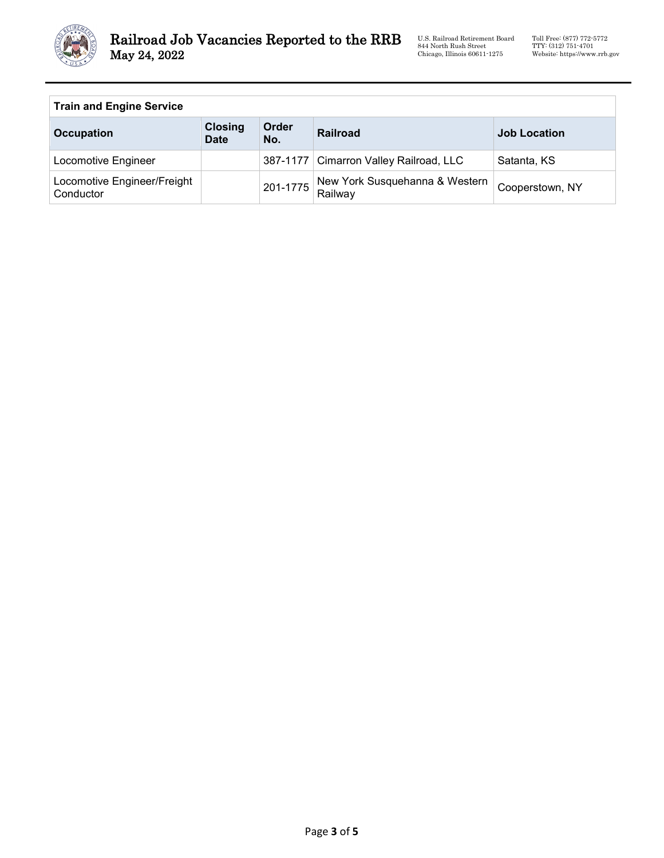

U.S. Railroad Retirement Board 844 North Rush Street Chicago, Illinois 60611-1275

## **Train and Engine Service**

| <b>Occupation</b>                        | <b>Closing</b><br><b>Date</b> | Order<br>No. | Railroad                                  | <b>Job Location</b> |
|------------------------------------------|-------------------------------|--------------|-------------------------------------------|---------------------|
| Locomotive Engineer                      |                               |              | 387-1177   Cimarron Valley Railroad, LLC  | Satanta, KS         |
| Locomotive Engineer/Freight<br>Conductor |                               | 201-1775     | New York Susquehanna & Western<br>Railway | Cooperstown, NY     |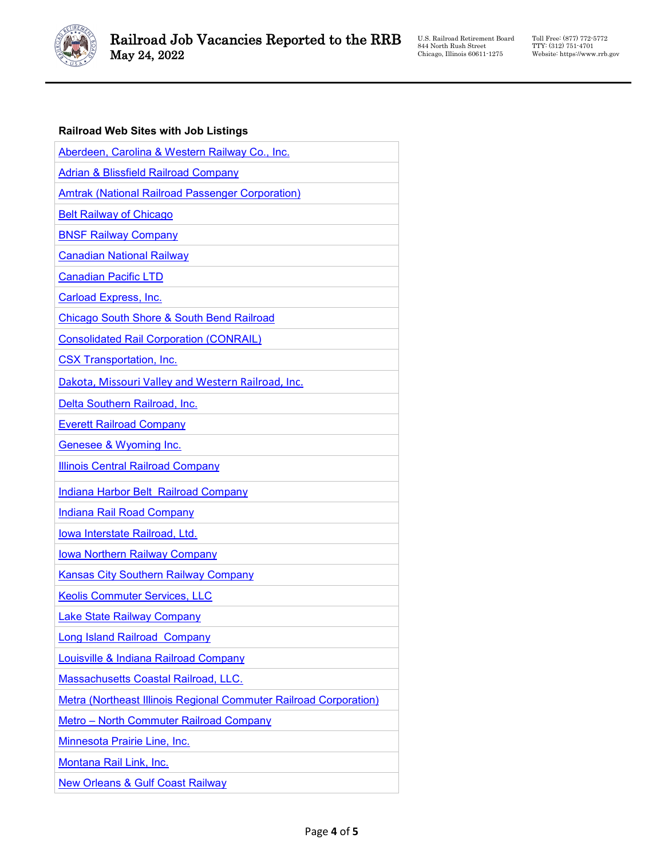

Toll Free: (877) 772-5772 TTY: (312) 751-4701 Website: https://www.rrb.gov

## **Railroad Web Sites with Job Listings**

| Aberdeen, Carolina & Western Railway Co., Inc.                    |
|-------------------------------------------------------------------|
| <b>Adrian &amp; Blissfield Railroad Company</b>                   |
| Amtrak (National Railroad Passenger Corporation)                  |
| <b>Belt Railway of Chicago</b>                                    |
| <b>BNSF Railway Company</b>                                       |
| <b>Canadian National Railway</b>                                  |
| <b>Canadian Pacific LTD</b>                                       |
| <b>Carload Express, Inc.</b>                                      |
| <b>Chicago South Shore &amp; South Bend Railroad</b>              |
| <b>Consolidated Rail Corporation (CONRAIL)</b>                    |
| <b>CSX Transportation, Inc.</b>                                   |
| Dakota, Missouri Valley and Western Railroad, Inc.                |
| Delta Southern Railroad, Inc.                                     |
| <b>Everett Railroad Company</b>                                   |
| Genesee & Wyoming Inc.                                            |
| <b>Illinois Central Railroad Company</b>                          |
| <b>Indiana Harbor Belt Railroad Company</b>                       |
| <b>Indiana Rail Road Company</b>                                  |
| Iowa Interstate Railroad, Ltd.                                    |
| <b>Iowa Northern Railway Company</b>                              |
| <b>Kansas City Southern Railway Company</b>                       |
| <b>Keolis Commuter Services, LLC</b>                              |
| <b>Lake State Railway Company</b>                                 |
| Long Island Railroad Company                                      |
| Louisville & Indiana Railroad Company                             |
| <b>Massachusetts Coastal Railroad, LLC.</b>                       |
| Metra (Northeast Illinois Regional Commuter Railroad Corporation) |
| Metro - North Commuter Railroad Company                           |
| Minnesota Prairie Line, Inc.                                      |
| Montana Rail Link, Inc.                                           |
| <b>New Orleans &amp; Gulf Coast Railway</b>                       |